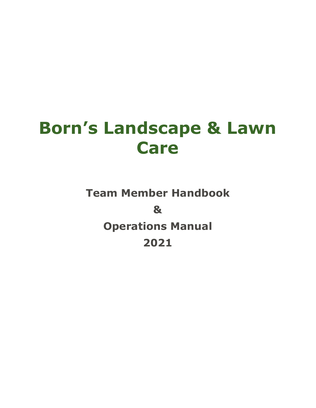# **Born's Landscape & Lawn Care**

**Team Member Handbook & Operations Manual 2021**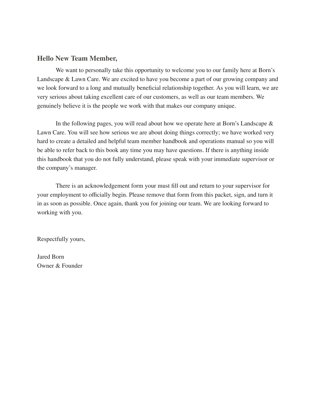#### **Hello New Team Member,**

We want to personally take this opportunity to welcome you to our family here at Born's Landscape & Lawn Care. We are excited to have you become a part of our growing company and we look forward to a long and mutually beneficial relationship together. As you will learn, we are very serious about taking excellent care of our customers, as well as our team members. We genuinely believe it is the people we work with that makes our company unique.

In the following pages, you will read about how we operate here at Born's Landscape & Lawn Care. You will see how serious we are about doing things correctly; we have worked very hard to create a detailed and helpful team member handbook and operations manual so you will be able to refer back to this book any time you may have questions. If there is anything inside this handbook that you do not fully understand, please speak with your immediate supervisor or the company's manager.

There is an acknowledgement form your must fill out and return to your supervisor for your employment to officially begin. Please remove that form from this packet, sign, and turn it in as soon as possible. Once again, thank you for joining our team. We are looking forward to working with you.

Respectfully yours,

Jared Born Owner & Founder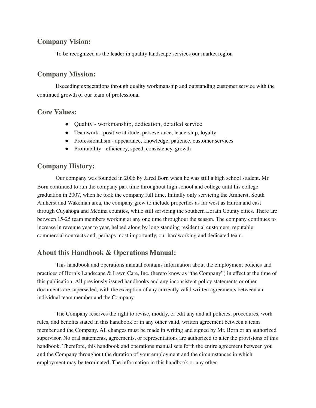# **Company Vision:**

To be recognized as the leader in quality landscape services our market region

# **Company Mission:**

Exceeding expectations through quality workmanship and outstanding customer service with the continued growth of our team of professional

# **Core Values:**

- Quality workmanship, dedication, detailed service
- Teamwork positive attitude, perseverance, leadership, loyalty
- Professionalism appearance, knowledge, patience, customer services
- Profitability efficiency, speed, consistency, growth

# **Company History:**

Our company was founded in 2006 by Jared Born when he was still a high school student. Mr. Born continued to run the company part time throughout high school and college until his college graduation in 2007, when he took the company full time. Initially only servicing the Amherst, South Amherst and Wakeman area, the company grew to include properties as far west as Huron and east through Cuyahoga and Medina counties, while still servicing the southern Lorain County cities. There are between 15-25 team members working at any one time throughout the season. The company continues to increase in revenue year to year, helped along by long standing residential customers, reputable commercial contracts and, perhaps most importantly, our hardworking and dedicated team.

# **About this Handbook & Operations Manual:**

This handbook and operations manual contains information about the employment policies and practices of Born's Landscape & Lawn Care, Inc. (hereto know as "the Company") in effect at the time of this publication. All previously issued handbooks and any inconsistent policy statements or other documents are superseded, with the exception of any currently valid written agreements between an individual team member and the Company.

The Company reserves the right to revise, modify, or edit any and all policies, procedures, work rules, and benefits stated in this handbook or in any other valid, written agreement between a team member and the Company. All changes must be made in writing and signed by Mr. Born or an authorized supervisor. No oral statements, agreements, or representations are authorized to alter the provisions of this handbook. Therefore, this handbook and operations manual sets forth the entire agreement between you and the Company throughout the duration of your employment and the circumstances in which employment may be terminated. The information in this handbook or any other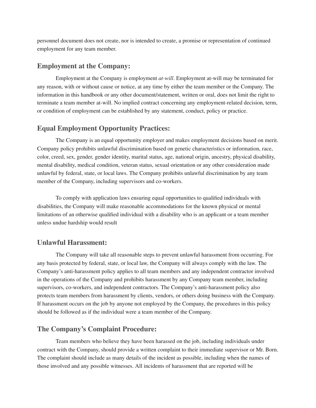personnel document does not create, nor is intended to create, a promise or representation of continued employment for any team member.

#### **Employment at the Company:**

Employment at the Company is employment *at-will*. Employment at-will may be terminated for any reason, with or without cause or notice, at any time by either the team member or the Company. The information in this handbook or any other document/statement, written or oral, does not limit the right to terminate a team member at-will. No implied contract concerning any employment-related decision, term, or condition of employment can be established by any statement, conduct, policy or practice.

# **Equal Employment Opportunity Practices:**

The Company is an equal opportunity employer and makes employment decisions based on merit. Company policy prohibits unlawful discrimination based on genetic characteristics or information, race, color, creed, sex, gender, gender identity, marital status, age, national origin, ancestry, physical disability, mental disability, medical condition, veteran status, sexual orientation or any other consideration made unlawful by federal, state, or local laws. The Company prohibits unlawful discrimination by any team member of the Company, including supervisors and co-workers.

To comply with application laws ensuring equal opportunities to qualified individuals with disabilities, the Company will make reasonable accommodations for the known physical or mental limitations of an otherwise qualified individual with a disability who is an applicant or a team member unless undue hardship would result

#### **Unlawful Harassment:**

The Company will take all reasonable steps to prevent unlawful harassment from occurring. For any basis protected by federal, state, or local law, the Company will always comply with the law. The Company's anti-harassment policy applies to all team members and any independent contractor involved in the operations of the Company and prohibits harassment by any Company team member, including supervisors, co-workers, and independent contractors. The Company's anti-harassment policy also protects team members from harassment by clients, vendors, or others doing business with the Company. If harassment occurs on the job by anyone not employed by the Company, the procedures in this policy should be followed as if the individual were a team member of the Company.

# **The Company's Complaint Procedure:**

Team members who believe they have been harassed on the job, including individuals under contract with the Company, should provide a written complaint to their immediate supervisor or Mr. Born. The complaint should include as many details of the incident as possible, including when the names of those involved and any possible witnesses. All incidents of harassment that are reported will be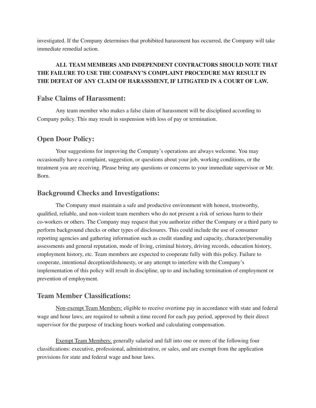investigated. If the Company determines that prohibited harassment has occurred, the Company will take immediate remedial action.

# **ALL TEAM MEMBERS AND INDEPENDENT CONTRACTORS SHOULD NOTE THAT THE FAILURE TO USE THE COMPANY'S COMPLAINT PROCEDURE MAY RESULT IN THE DEFEAT OF ANY CLAIM OF HARASSMENT, IF LITIGATED IN A COURT OF LAW.**

#### **False Claims of Harassment:**

Any team member who makes a false claim of harassment will be disciplined according to Company policy. This may result in suspension with loss of pay or termination.

#### **Open Door Policy:**

Your suggestions for improving the Company's operations are always welcome. You may occasionally have a complaint, suggestion, or questions about your job, working conditions, or the treatment you are receiving. Please bring any questions or concerns to your immediate supervisor or Mr. Born.

#### **Background Checks and Investigations:**

The Company must maintain a safe and productive environment with honest, trustworthy, qualified, reliable, and non-violent team members who do not present a risk of serious harm to their co-workers or others. The Company may request that you authorize either the Company or a third party to perform background checks or other types of disclosures. This could include the use of consumer reporting agencies and gathering information such as credit standing and capacity, character/personality assessments and general reputation, mode of living, criminal history, driving records, education history, employment history, etc. Team members are expected to cooperate fully with this policy. Failure to cooperate, intentional deception/dishonesty, or any attempt to interfere with the Company's implementation of this policy will result in discipline, up to and including termination of employment or prevention of employment.

#### **Team Member Classifications:**

Non-exempt Team Members: eligible to receive overtime pay in accordance with state and federal wage and hour laws; are required to submit a time record for each pay period, approved by their direct supervisor for the purpose of tracking hours worked and calculating compensation.

Exempt Team Members: generally salaried and fall into one or more of the following four classifications: executive, professional, administrative, or sales, and are exempt from the application provisions for state and federal wage and hour laws.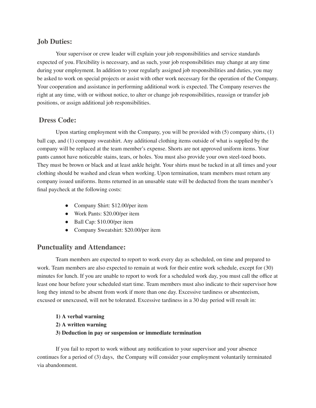# **Job Duties:**

Your supervisor or crew leader will explain your job responsibilities and service standards expected of you. Flexibility is necessary, and as such, your job responsibilities may change at any time during your employment. In addition to your regularly assigned job responsibilities and duties, you may be asked to work on special projects or assist with other work necessary for the operation of the Company. Your cooperation and assistance in performing additional work is expected. The Company reserves the right at any time, with or without notice, to alter or change job responsibilities, reassign or transfer job positions, or assign additional job responsibilities.

# **Dress Code:**

Upon starting employment with the Company, you will be provided with (5) company shirts, (1) ball cap, and (1) company sweatshirt. Any additional clothing items outside of what is supplied by the company will be replaced at the team member's expense. Shorts are not approved uniform items. Your pants cannot have noticeable stains, tears, or holes. You must also provide your own steel-toed boots. They must be brown or black and at least ankle height. Your shirts must be tucked in at all times and your clothing should be washed and clean when working. Upon termination, team members must return any company issued uniforms. Items returned in an unusable state will be deducted from the team member's final paycheck at the following costs:

- Company Shirt: \$12.00/per item
- Work Pants: \$20.00/per item
- Ball Cap: \$10.00/per item
- Company Sweatshirt: \$20.00/per item

# **Punctuality and Attendance:**

Team members are expected to report to work every day as scheduled, on time and prepared to work. Team members are also expected to remain at work for their entire work schedule, except for (30) minutes for lunch. If you are unable to report to work for a scheduled work day, you must call the office at least one hour before your scheduled start time. Team members must also indicate to their supervisor how long they intend to be absent from work if more than one day. Excessive tardiness or absenteeism, excused or unexcused, will not be tolerated. Excessive tardiness in a 30 day period will result in:

- **1) A verbal warning**
- **2) A written warning**
- **3) Deduction in pay or suspension or immediate termination**

If you fail to report to work without any notification to your supervisor and your absence continues for a period of (3) days, the Company will consider your employment voluntarily terminated via abandonment.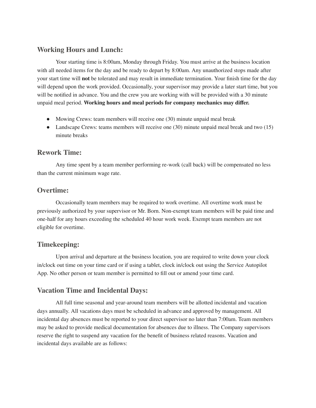## **Working Hours and Lunch:**

Your starting time is 8:00am, Monday through Friday. You must arrive at the business location with all needed items for the day and be ready to depart by 8:00am. Any unauthorized stops made after your start time will **not** be tolerated and may result in immediate termination. Your finish time for the day will depend upon the work provided. Occasionally, your supervisor may provide a later start time, but you will be notified in advance. You and the crew you are working with will be provided with a 30 minute unpaid meal period. **Working hours and meal periods for company mechanics may differ.**

- Mowing Crews: team members will receive one (30) minute unpaid meal break
- Landscape Crews: teams members will receive one (30) minute unpaid meal break and two (15) minute breaks

# **Rework Time:**

Any time spent by a team member performing re-work (call back) will be compensated no less than the current minimum wage rate.

# **Overtime:**

Occasionally team members may be required to work overtime. All overtime work must be previously authorized by your supervisor or Mr. Born. Non-exempt team members will be paid time and one-half for any hours exceeding the scheduled 40 hour work week. Exempt team members are not eligible for overtime.

# **Timekeeping:**

Upon arrival and departure at the business location, you are required to write down your clock in/clock out time on your time card or if using a tablet, clock in/clock out using the Service Autopilot App. No other person or team member is permitted to fill out or amend your time card.

# **Vacation Time and Incidental Days:**

All full time seasonal and year-around team members will be allotted incidental and vacation days annually. All vacations days must be scheduled in advance and approved by management. All incidental day absences must be reported to your direct supervisor no later than 7:00am. Team members may be asked to provide medical documentation for absences due to illness. The Company supervisors reserve the right to suspend any vacation for the benefit of business related reasons. Vacation and incidental days available are as follows: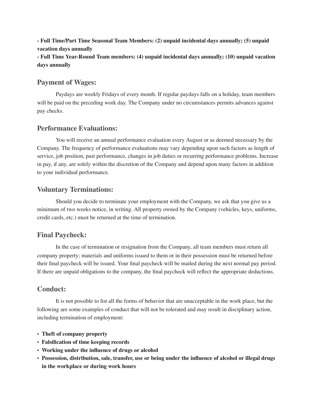**- Full Time/Part Time Seasonal Team Members: (2) unpaid incidental days annually; (5) unpaid vacation days annually**

**- Full Time Year-Round Team members: (4) unpaid incidental days annually; (10) unpaid vacation days annually**

# **Payment of Wages:**

Paydays are weekly Fridays of every month. If regular paydays falls on a holiday, team members will be paid on the preceding work day. The Company under no circumstances permits advances against pay checks.

# **Performance Evaluations:**

You will receive an annual performance evaluation every August or as deemed necessary by the Company. The frequency of performance evaluations may vary depending upon such factors as length of service, job position, past performance, changes in job duties or recurring performance problems. Increase in pay, if any, are solely within the discretion of the Company and depend upon many factors in addition to your individual performance.

# **Voluntary Terminations:**

Should you decide to terminate your employment with the Company, we ask that you give us a minimum of two weeks notice, in writing. All property owned by the Company (vehicles, keys, uniforms, credit cards, etc.) must be returned at the time of termination.

# **Final Paycheck:**

In the case of termination or resignation from the Company, all team members must return all company property; materials and uniforms issued to them or in their possession must be returned before their final paycheck will be issued. Your final paycheck will be mailed during the next normal pay period. If there are unpaid obligations to the company, the final paycheck will reflect the appropriate deductions.

# **Conduct:**

It is not possible to list all the forms of behavior that are unacceptable in the work place, but the following are some examples of conduct that will not be tolerated and may result in disciplinary action, including termination of employment:

- **Theft of company property**
- **Falsification of time keeping records**
- **Working under the influence of drugs or alcohol**
- **Possession, distribution, sale, transfer, use or being under the influence of alcohol or illegal drugs in the workplace or during work hours**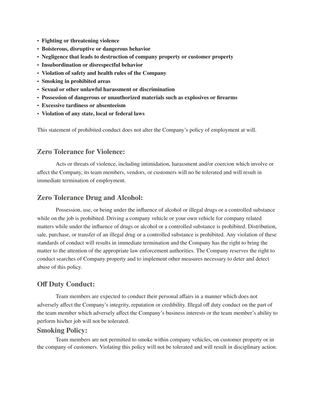- **Fighting or threatening violence**
- **Boisterous, disruptive or dangerous behavior**
- **Negligence that leads to destruction of company property or customer property**
- **Insubordination or disrespectful behavior**
- **Violation of safety and health rules of the Company**
- **Smoking in prohibited areas**
- **Sexual or other unlawful harassment or discrimination**
- **Possession of dangerous or unauthorized materials such as explosives or firearms**
- **Excessive tardiness or absenteeism**
- **Violation of any state, local or federal laws**

This statement of prohibited conduct does not alter the Company's policy of employment at will.

# **Zero Tolerance for Violence:**

Acts or threats of violence, including intimidation, harassment and/or coercion which involve or affect the Company, its team members, vendors, or customers will no be tolerated and will result in immediate termination of employment.

# **Zero Tolerance Drug and Alcohol:**

Possession, use, or being under the influence of alcohol or illegal drugs or a controlled substance while on the job is prohibited. Driving a company vehicle or your own vehicle for company related matters while under the influence of drugs or alcohol or a controlled substance is prohibited. Distribution, sale, purchase, or transfer of an illegal drug or a controlled substance is prohibited. Any violation of these standards of conduct will results in immediate termination and the Company has the right to bring the matter to the attention of the appropriate law enforcement authorities. The Company reserves the right to conduct searches of Company property and to implement other measures necessary to deter and detect abuse of this policy.

# **Off Duty Conduct:**

Team members are expected to conduct their personal affairs in a manner which does not adversely affect the Company's integrity, reputation or credibility. Illegal off duty conduct on the part of the team member which adversely affect the Company's business interests or the team member's ability to perform his/her job will not be tolerated.

#### **Smoking Policy:**

Team members are not permitted to smoke within company vehicles, on customer property or in the company of customers. Violating this policy will not be tolerated and will result in disciplinary action.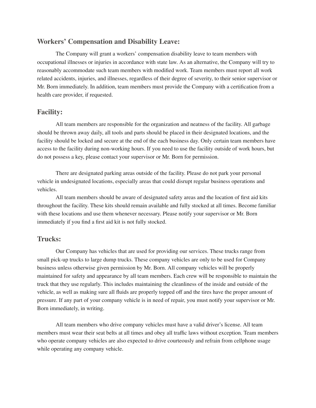# **Workers' Compensation and Disability Leave:**

The Company will grant a workers' compensation disability leave to team members with occupational illnesses or injuries in accordance with state law. As an alternative, the Company will try to reasonably accommodate such team members with modified work. Team members must report all work related accidents, injuries, and illnesses, regardless of their degree of severity, to their senior supervisor or Mr. Born immediately. In addition, team members must provide the Company with a certification from a health care provider, if requested.

#### **Facility:**

All team members are responsible for the organization and neatness of the facility. All garbage should be thrown away daily, all tools and parts should be placed in their designated locations, and the facility should be locked and secure at the end of the each business day. Only certain team members have access to the facility during non-working hours. If you need to use the facility outside of work hours, but do not possess a key, please contact your supervisor or Mr. Born for permission.

There are designated parking areas outside of the facility. Please do not park your personal vehicle in undesignated locations, especially areas that could disrupt regular business operations and vehicles.

All team members should be aware of designated safety areas and the location of first aid kits throughout the facility. These kits should remain available and fully stocked at all times. Become familiar with these locations and use them whenever necessary. Please notify your supervisor or Mr. Born immediately if you find a first aid kit is not fully stocked.

# **Trucks:**

Our Company has vehicles that are used for providing our services. These trucks range from small pick-up trucks to large dump trucks. These company vehicles are only to be used for Company business unless otherwise given permission by Mr. Born. All company vehicles will be properly maintained for safety and appearance by all team members. Each crew will be responsible to maintain the truck that they use regularly. This includes maintaining the cleanliness of the inside and outside of the vehicle, as well as making sure all fluids are properly topped off and the tires have the proper amount of pressure. If any part of your company vehicle is in need of repair, you must notify your supervisor or Mr. Born immediately, in writing.

All team members who drive company vehicles must have a valid driver's license. All team members must wear their seat belts at all times and obey all traffic laws without exception. Team members who operate company vehicles are also expected to drive courteously and refrain from cellphone usage while operating any company vehicle.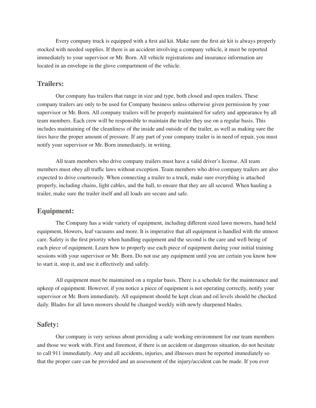Every company truck is equipped with a first aid kit. Make sure the first air kit is always properly stocked with needed supplies. If there is an accident involving a company vehicle, it must be reported immediately to your supervisor or Mr. Born. All vehicle registrations and insurance information are located in an envelope in the glove compartment of the vehicle.

#### **Trailers:**

Our company has trailers that range in size and type, both closed and open trailers. These company trailers are only to be used for Company business unless otherwise given permission by your supervisor or Mr. Born. All company trailers will be properly maintained for safety and appearance by all team members. Each crew will be responsible to maintain the trailer they use on a regular basis. This includes maintaining of the cleanliness of the inside and outside of the trailer, as well as making sure the tires have the proper amount of pressure. If any part of your company trailer is in need of repair, you must notify your supervisor or Mr. Born immediately, in writing.

All team members who drive company trailers must have a valid driver's license. All team members must obey all traffic laws without exception. Team members who drive company trailers are also expected to drive courteously. When connecting a trailer to a truck, make sure everything is attached properly, including chains, light cables, and the ball, to ensure that they are all secured. When hauling a trailer, make sure the trailer itself and all loads are secure and safe.

#### **Equipment:**

The Company has a wide variety of equipment, including different sized lawn mowers, hand held equipment, blowers, leaf vacuums and more. It is imperative that all equipment is handled with the utmost care. Safety is the first priority when handling equipment and the second is the care and well being of each piece of equipment. Learn how to properly use each piece of equipment during your initial training sessions with your supervisor or Mr. Born. Do not use any equipment until you are certain you know how to start it, stop it, and use it effectively and safely.

All equipment must be maintained on a regular basis. There is a schedule for the maintenance and upkeep of equipment. However, if you notice a piece of equipment is not operating correctly, notify your supervisor or Mr. Born immediately. All equipment should be kept clean and oil levels should be checked daily. Blades for all lawn mowers should be changed weekly with newly sharpened blades.

#### **Safety:**

Our company is very serious about providing a safe working environment for our team members and those we work with. First and foremost, if there is an accident or dangerous situation, do not hesitate to call 911 immediately. Any and all accidents, injuries, and illnesses must be reported immediately so that the proper care can be provided and an assessment of the injury/accident can be made. If you ever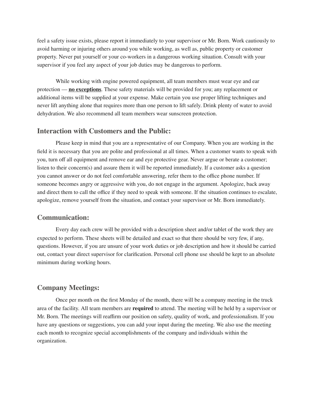feel a safety issue exists, please report it immediately to your supervisor or Mr. Born. Work cautiously to avoid harming or injuring others around you while working, as well as, public property or customer property. Never put yourself or your co-workers in a dangerous working situation. Consult with your supervisor if you feel any aspect of your job duties may be dangerous to perform.

While working with engine powered equipment, all team members must wear eye and ear protection — **no exceptions**. These safety materials will be provided for you; any replacement or additional items will be supplied at your expense. Make certain you use proper lifting techniques and never lift anything alone that requires more than one person to lift safely. Drink plenty of water to avoid dehydration. We also recommend all team members wear sunscreen protection.

#### **Interaction with Customers and the Public:**

Please keep in mind that you are a representative of our Company. When you are working in the field it is necessary that you are polite and professional at all times. When a customer wants to speak with you, turn off all equipment and remove ear and eye protective gear. Never argue or berate a customer; listen to their concern(s) and assure them it will be reported immediately. If a customer asks a question you cannot answer or do not feel comfortable answering, refer them to the office phone number. If someone becomes angry or aggressive with you, do not engage in the argument. Apologize, back away and direct them to call the office if they need to speak with someone. If the situation continues to escalate, apologize, remove yourself from the situation, and contact your supervisor or Mr. Born immediately.

#### **Communication:**

Every day each crew will be provided with a description sheet and/or tablet of the work they are expected to perform. These sheets will be detailed and exact so that there should be very few, if any, questions. However, if you are unsure of your work duties or job description and how it should be carried out, contact your direct supervisor for clarification. Personal cell phone use should be kept to an absolute minimum during working hours.

# **Company Meetings:**

Once per month on the first Monday of the month, there will be a company meeting in the truck area of the facility. All team members are **required** to attend. The meeting will be held by a supervisor or Mr. Born. The meetings will reaffirm our position on safety, quality of work, and professionalism. If you have any questions or suggestions, you can add your input during the meeting. We also use the meeting each month to recognize special accomplishments of the company and individuals within the organization.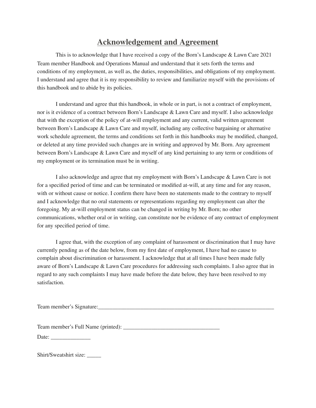# **Acknowledgement and Agreement**

This is to acknowledge that I have received a copy of the Born's Landscape & Lawn Care 2021 Team member Handbook and Operations Manual and understand that it sets forth the terms and conditions of my employment, as well as, the duties, responsibilities, and obligations of my employment. I understand and agree that it is my responsibility to review and familiarize myself with the provisions of this handbook and to abide by its policies.

I understand and agree that this handbook, in whole or in part, is not a contract of employment, nor is it evidence of a contract between Born's Landscape & Lawn Care and myself. I also acknowledge that with the exception of the policy of at-will employment and any current, valid written agreement between Born's Landscape & Lawn Care and myself, including any collective bargaining or alternative work schedule agreement, the terms and conditions set forth in this handbooks may be modified, changed, or deleted at any time provided such changes are in writing and approved by Mr. Born. Any agreement between Born's Landscape & Lawn Care and myself of any kind pertaining to any term or conditions of my employment or its termination must be in writing.

I also acknowledge and agree that my employment with Born's Landscape & Lawn Care is not for a specified period of time and can be terminated or modified at-will, at any time and for any reason, with or without cause or notice. I confirm there have been no statements made to the contrary to myself and I acknowledge that no oral statements or representations regarding my employment can alter the foregoing. My at-will employment status can be changed in writing by Mr. Born; no other communications, whether oral or in writing, can constitute nor be evidence of any contract of employment for any specified period of time.

I agree that, with the exception of any complaint of harassment or discrimination that I may have currently pending as of the date below, from my first date of employment, I have had no cause to complain about discrimination or harassment. I acknowledge that at all times I have been made fully aware of Born's Landscape & Lawn Care procedures for addressing such complaints. I also agree that in regard to any such complaints I may have made before the date below, they have been resolved to my satisfaction.

Team member's Signature:\_\_\_\_\_\_\_\_\_\_\_\_\_\_\_\_\_\_\_\_\_\_\_\_\_\_\_\_\_\_\_\_\_\_\_\_\_\_\_\_\_\_\_\_\_\_\_\_\_\_\_\_\_\_\_\_\_\_\_\_\_\_

Team member's Full Name (printed): \_\_\_\_\_\_\_\_\_\_\_\_\_\_\_\_\_\_\_\_\_\_\_\_\_\_\_\_\_\_\_\_\_\_

Date:

Shirt/Sweatshirt size: \_\_\_\_\_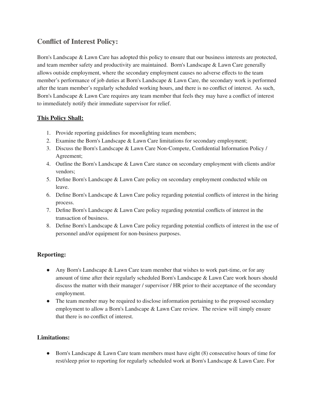# **Conflict of Interest Policy:**

Born's Landscape & Lawn Care has adopted this policy to ensure that our business interests are protected, and team member safety and productivity are maintained. Born's Landscape & Lawn Care generally allows outside employment, where the secondary employment causes no adverse effects to the team member's performance of job duties at Born's Landscape & Lawn Care, the secondary work is performed after the team member's regularly scheduled working hours, and there is no conflict of interest. As such, Born's Landscape & Lawn Care requires any team member that feels they may have a conflict of interest to immediately notify their immediate supervisor for relief.

# **This Policy Shall:**

- 1. Provide reporting guidelines for moonlighting team members;
- 2. Examine the Born's Landscape & Lawn Care limitations for secondary employment;
- 3. Discuss the Born's Landscape & Lawn Care Non-Compete, Confidential Information Policy / Agreement;
- 4. Outline the Born's Landscape & Lawn Care stance on secondary employment with clients and/or vendors;
- 5. Define Born's Landscape & Lawn Care policy on secondary employment conducted while on leave.
- 6. Define Born's Landscape & Lawn Care policy regarding potential conflicts of interest in the hiring process.
- 7. Define Born's Landscape & Lawn Care policy regarding potential conflicts of interest in the transaction of business.
- 8. Define Born's Landscape & Lawn Care policy regarding potential conflicts of interest in the use of personnel and/or equipment for non-business purposes.

# **Reporting:**

- Any Born's Landscape & Lawn Care team member that wishes to work part-time, or for any amount of time after their regularly scheduled Born's Landscape & Lawn Care work hours should discuss the matter with their manager / supervisor / HR prior to their acceptance of the secondary employment.
- The team member may be required to disclose information pertaining to the proposed secondary employment to allow a Born's Landscape & Lawn Care review. The review will simply ensure that there is no conflict of interest.

# **Limitations:**

● Born's Landscape & Lawn Care team members must have eight (8) consecutive hours of time for rest/sleep prior to reporting for regularly scheduled work at Born's Landscape & Lawn Care. For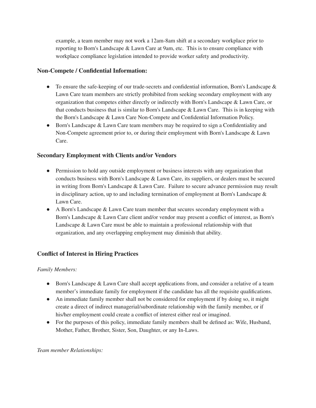example, a team member may not work a 12am-8am shift at a secondary workplace prior to reporting to Born's Landscape & Lawn Care at 9am, etc. This is to ensure compliance with workplace compliance legislation intended to provide worker safety and productivity.

# **Non-Compete / Confidential Information:**

- To ensure the safe-keeping of our trade-secrets and confidential information, Born's Landscape  $\&$ Lawn Care team members are strictly prohibited from seeking secondary employment with any organization that competes either directly or indirectly with Born's Landscape & Lawn Care, or that conducts business that is similar to Born's Landscape & Lawn Care. This is in keeping with the Born's Landscape & Lawn Care Non-Compete and Confidential Information Policy.
- Born's Landscape & Lawn Care team members may be required to sign a Confidentiality and Non-Compete agreement prior to, or during their employment with Born's Landscape & Lawn Care.

# **Secondary Employment with Clients and/or Vendors**

- Permission to hold any outside employment or business interests with any organization that conducts business with Born's Landscape & Lawn Care, its suppliers, or dealers must be secured in writing from Born's Landscape & Lawn Care. Failure to secure advance permission may result in disciplinary action, up to and including termination of employment at Born's Landscape  $\&$ Lawn Care.
- A Born's Landscape & Lawn Care team member that secures secondary employment with a Born's Landscape & Lawn Care client and/or vendor may present a conflict of interest, as Born's Landscape & Lawn Care must be able to maintain a professional relationship with that organization, and any overlapping employment may diminish that ability.

# **Conflict of Interest in Hiring Practices**

# *Family Members:*

- Born's Landscape & Lawn Care shall accept applications from, and consider a relative of a team member's immediate family for employment if the candidate has all the requisite qualifications.
- An immediate family member shall not be considered for employment if by doing so, it might create a direct of indirect managerial/subordinate relationship with the family member, or if his/her employment could create a conflict of interest either real or imagined.
- For the purposes of this policy, immediate family members shall be defined as: Wife, Husband, Mother, Father, Brother, Sister, Son, Daughter, or any In-Laws.

#### *Team member Relationships:*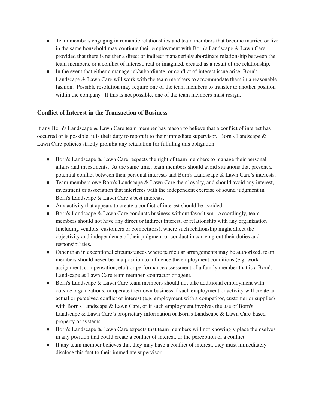- Team members engaging in romantic relationships and team members that become married or live in the same household may continue their employment with Born's Landscape & Lawn Care provided that there is neither a direct or indirect managerial/subordinate relationship between the team members, or a conflict of interest, real or imagined, created as a result of the relationship.
- In the event that either a managerial/subordinate, or conflict of interest issue arise, Born's Landscape & Lawn Care will work with the team members to accommodate them in a reasonable fashion. Possible resolution may require one of the team members to transfer to another position within the company. If this is not possible, one of the team members must resign.

#### **Conflict of Interest in the Transaction of Business**

If any Born's Landscape & Lawn Care team member has reason to believe that a conflict of interest has occurred or is possible, it is their duty to report it to their immediate supervisor. Born's Landscape & Lawn Care policies strictly prohibit any retaliation for fulfilling this obligation.

- Born's Landscape & Lawn Care respects the right of team members to manage their personal affairs and investments. At the same time, team members should avoid situations that present a potential conflict between their personal interests and Born's Landscape & Lawn Care's interests.
- Team members owe Born's Landscape & Lawn Care their loyalty, and should avoid any interest, investment or association that interferes with the independent exercise of sound judgment in Born's Landscape & Lawn Care's best interests.
- Any activity that appears to create a conflict of interest should be avoided.
- Born's Landscape & Lawn Care conducts business without favoritism. Accordingly, team members should not have any direct or indirect interest, or relationship with any organization (including vendors, customers or competitors), where such relationship might affect the objectivity and independence of their judgment or conduct in carrying out their duties and responsibilities.
- Other than in exceptional circumstances where particular arrangements may be authorized, team members should never be in a position to influence the employment conditions (e.g. work assignment, compensation, etc.) or performance assessment of a family member that is a Born's Landscape & Lawn Care team member, contractor or agent.
- Born's Landscape & Lawn Care team members should not take additional employment with outside organizations, or operate their own business if such employment or activity will create an actual or perceived conflict of interest (e.g. employment with a competitor, customer or supplier) with Born's Landscape & Lawn Care, or if such employment involves the use of Born's Landscape & Lawn Care's proprietary information or Born's Landscape & Lawn Care-based property or systems.
- Born's Landscape & Lawn Care expects that team members will not knowingly place themselves in any position that could create a conflict of interest, or the perception of a conflict.
- If any team member believes that they may have a conflict of interest, they must immediately disclose this fact to their immediate supervisor.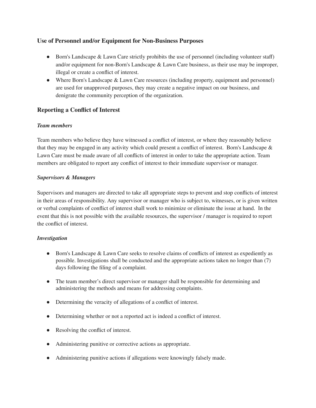#### **Use of Personnel and/or Equipment for Non-Business Purposes**

- Born's Landscape & Lawn Care strictly prohibits the use of personnel (including volunteer staff) and/or equipment for non-Born's Landscape & Lawn Care business, as their use may be improper, illegal or create a conflict of interest.
- Where Born's Landscape & Lawn Care resources (including property, equipment and personnel) are used for unapproved purposes, they may create a negative impact on our business, and denigrate the community perception of the organization.

# **Reporting a Conflict of Interest**

#### *Team members*

Team members who believe they have witnessed a conflict of interest, or where they reasonably believe that they may be engaged in any activity which could present a conflict of interest. Born's Landscape & Lawn Care must be made aware of all conflicts of interest in order to take the appropriate action. Team members are obligated to report any conflict of interest to their immediate supervisor or manager.

#### *Supervisors & Managers*

Supervisors and managers are directed to take all appropriate steps to prevent and stop conflicts of interest in their areas of responsibility. Any supervisor or manager who is subject to, witnesses, or is given written or verbal complaints of conflict of interest shall work to minimize or eliminate the issue at hand. In the event that this is not possible with the available resources, the supervisor / manager is required to report the conflict of interest.

#### *Investigation*

- Born's Landscape & Lawn Care seeks to resolve claims of conflicts of interest as expediently as possible. Investigations shall be conducted and the appropriate actions taken no longer than (7) days following the filing of a complaint.
- The team member's direct supervisor or manager shall be responsible for determining and administering the methods and means for addressing complaints.
- Determining the veracity of allegations of a conflict of interest.
- Determining whether or not a reported act is indeed a conflict of interest.
- Resolving the conflict of interest.
- Administering punitive or corrective actions as appropriate.
- Administering punitive actions if allegations were knowingly falsely made.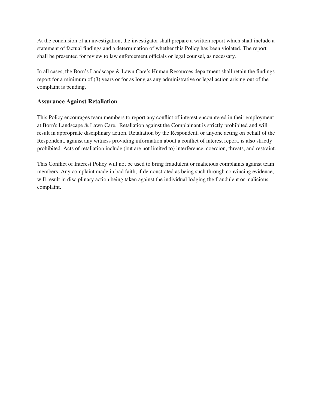At the conclusion of an investigation, the investigator shall prepare a written report which shall include a statement of factual findings and a determination of whether this Policy has been violated. The report shall be presented for review to law enforcement officials or legal counsel, as necessary.

In all cases, the Born's Landscape & Lawn Care's Human Resources department shall retain the findings report for a minimum of (3) years or for as long as any administrative or legal action arising out of the complaint is pending.

#### **Assurance Against Retaliation**

This Policy encourages team members to report any conflict of interest encountered in their employment at Born's Landscape & Lawn Care. Retaliation against the Complainant is strictly prohibited and will result in appropriate disciplinary action. Retaliation by the Respondent, or anyone acting on behalf of the Respondent, against any witness providing information about a conflict of interest report, is also strictly prohibited. Acts of retaliation include (but are not limited to) interference, coercion, threats, and restraint.

This Conflict of Interest Policy will not be used to bring fraudulent or malicious complaints against team members. Any complaint made in bad faith, if demonstrated as being such through convincing evidence, will result in disciplinary action being taken against the individual lodging the fraudulent or malicious complaint.